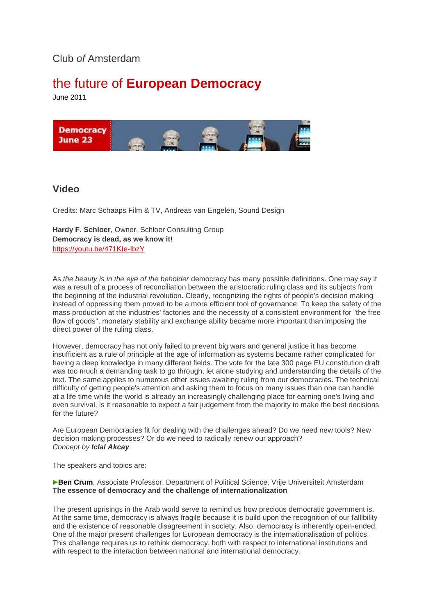# the future of **European Democracy**

June 2011



## **Video**

Credits: Marc Schaaps Film & TV, Andreas van Engelen, Sound Design

**Hardy F. Schloer**, Owner, Schloer Consulting Group **Democracy is dead, as we know it!** <https://youtu.be/471KIe-IbzY>

As *the beauty is in the eye of the beholder* democracy has many possible definitions. One may say it was a result of a process of reconciliation between the aristocratic ruling class and its subjects from the beginning of the industrial revolution. Clearly, recognizing the rights of people's decision making instead of oppressing them proved to be a more efficient tool of governance. To keep the safety of the mass production at the industries' factories and the necessity of a consistent environment for "the free flow of goods", monetary stability and exchange ability became more important than imposing the direct power of the ruling class.

However, democracy has not only failed to prevent big wars and general justice it has become insufficient as a rule of principle at the age of information as systems became rather complicated for having a deep knowledge in many different fields. The vote for the late 300 page EU constitution draft was too much a demanding task to go through, let alone studying and understanding the details of the text. The same applies to numerous other issues awaiting ruling from our democracies. The technical difficulty of getting people's attention and asking them to focus on many issues than one can handle at a life time while the world is already an increasingly challenging place for earning one's living and even survival, is it reasonable to expect a fair judgement from the majority to make the best decisions for the future?

Are European Democracies fit for dealing with the challenges ahead? Do we need new tools? New decision making processes? Or do we need to radically renew our approach? *Concept by Iclal Akcay*

The speakers and topics are:

#### **Ben Crum**, Associate Professor, Department of Political Science. Vrije Universiteit Amsterdam **The essence of democracy and the challenge of internationalization**

The present uprisings in the Arab world serve to remind us how precious democratic government is. At the same time, democracy is always fragile because it is build upon the recognition of our fallibility and the existence of reasonable disagreement in society. Also, democracy is inherently open-ended. One of the major present challenges for European democracy is the internationalisation of politics. This challenge requires us to rethink democracy, both with respect to international institutions and with respect to the interaction between national and international democracy.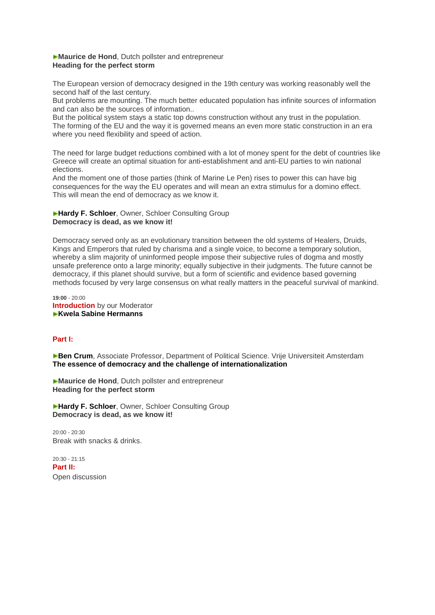#### **Maurice de Hond**, Dutch pollster and entrepreneur **Heading for the perfect storm**

The European version of democracy designed in the 19th century was working reasonably well the second half of the last century.

But problems are mounting. The much better educated population has infinite sources of information and can also be the sources of information..

But the political system stays a static top downs construction without any trust in the population. The forming of the EU and the way it is governed means an even more static construction in an era where you need flexibility and speed of action.

The need for large budget reductions combined with a lot of money spent for the debt of countries like Greece will create an optimal situation for anti-establishment and anti-EU parties to win national elections.

And the moment one of those parties (think of Marine Le Pen) rises to power this can have big consequences for the way the EU operates and will mean an extra stimulus for a domino effect. This will mean the end of democracy as we know it.

**Hardy F. Schloer**, Owner, Schloer Consulting Group **Democracy is dead, as we know it!**

Democracy served only as an evolutionary transition between the old systems of Healers, Druids, Kings and Emperors that ruled by charisma and a single voice, to become a temporary solution, whereby a slim majority of uninformed people impose their subjective rules of dogma and mostly unsafe preference onto a large minority; equally subjective in their judgments. The future cannot be democracy, if this planet should survive, but a form of scientific and evidence based governing methods focused by very large consensus on what really matters in the peaceful survival of mankind.

**19:00** - 20:00 **Introduction** by our Moderator **Kwela Sabine Hermanns**

### **Part I:**

**Ben Crum**, Associate Professor, Department of Political Science. Vrije Universiteit Amsterdam **The essence of democracy and the challenge of internationalization**

**Maurice de Hond**, Dutch pollster and entrepreneur **Heading for the perfect storm**

**Hardy F. Schloer**, Owner, Schloer Consulting Group **Democracy is dead, as we know it!**

20:00 - 20:30 Break with snacks & drinks.

20:30 - 21:15 **Part II:** Open discussion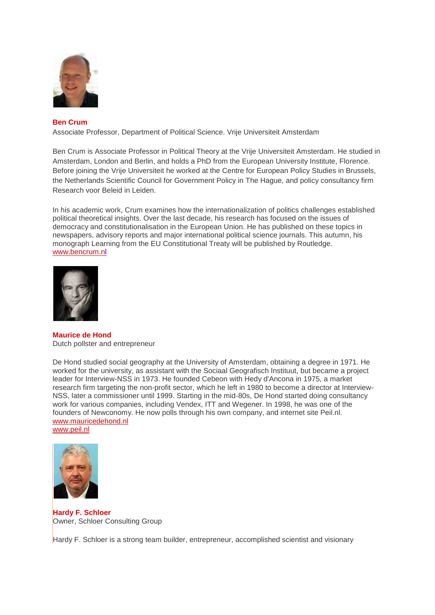

### **Ben Crum**

Associate Professor, Department of Political Science. Vrije Universiteit Amsterdam

Ben Crum is Associate Professor in Political Theory at the Vrije Universiteit Amsterdam. He studied in Amsterdam, London and Berlin, and holds a PhD from the European University Institute, Florence. Before joining the Vrije Universiteit he worked at the Centre for European Policy Studies in Brussels, the Netherlands Scientific Council for Government Policy in The Hague, and policy consultancy firm Research voor Beleid in Leiden.

In his academic work, Crum examines how the internationalization of politics challenges established political theoretical insights. Over the last decade, his research has focused on the issues of democracy and constitutionalisation in the European Union. He has published on these topics in newspapers, advisory reports and major international political science journals. This autumn, his monograph Learning from the EU Constitutional Treaty will be published by Routledge. [www.bencrum.nl](http://www.bencrum.nl/)



#### **Maurice de Hond** Dutch pollster and entrepreneur

De Hond studied social geography at the University of Amsterdam, obtaining a degree in 1971. He worked for the university, as assistant with the Sociaal Geografisch Instituut, but became a project leader for Interview-NSS in 1973. He founded Cebeon with Hedy d'Ancona in 1975, a market research firm targeting the non-profit sector, which he left in 1980 to become a director at Interview-NSS, later a commissioner until 1999. Starting in the mid-80s, De Hond started doing consultancy work for various companies, including Vendex, ITT and Wegener. In 1998, he was one of the founders of Newconomy. He now polls through his own company, and internet site Peil.nl. [www.mauricedehond.nl](http://www.mauricedehond.nl/)

[www.peil.nl](http://www.clubofamsterdam.com/http%22/www.peil.nl)



**Hardy F. Schloer** Owner, Schloer Consulting Group

Hardy F. Schloer is a strong team builder, entrepreneur, accomplished scientist and visionary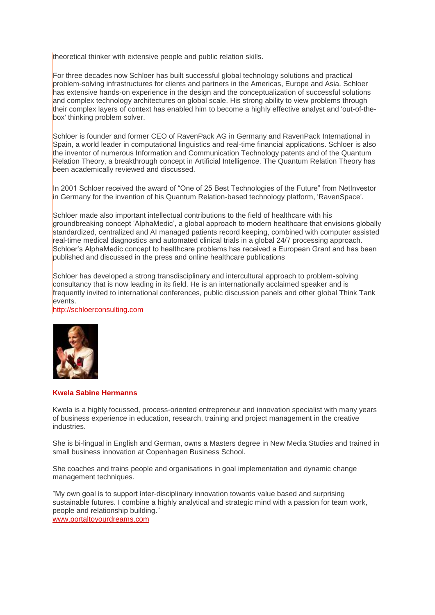theoretical thinker with extensive people and public relation skills.

For three decades now Schloer has built successful global technology solutions and practical problem-solving infrastructures for clients and partners in the Americas, Europe and Asia. Schloer has extensive hands-on experience in the design and the conceptualization of successful solutions and complex technology architectures on global scale. His strong ability to view problems through their complex layers of context has enabled him to become a highly effective analyst and 'out-of-thebox' thinking problem solver.

Schloer is founder and former CEO of RavenPack AG in Germany and RavenPack International in Spain, a world leader in computational linguistics and real-time financial applications. Schloer is also the inventor of numerous Information and Communication Technology patents and of the Quantum Relation Theory, a breakthrough concept in Artificial Intelligence. The Quantum Relation Theory has been academically reviewed and discussed.

In 2001 Schloer received the award of "One of 25 Best Technologies of the Future" from NetInvestor in Germany for the invention of his Quantum Relation-based technology platform, 'RavenSpace'.

Schloer made also important intellectual contributions to the field of healthcare with his groundbreaking concept 'AlphaMedic', a global approach to modern healthcare that envisions globally standardized, centralized and AI managed patients record keeping, combined with computer assisted real-time medical diagnostics and automated clinical trials in a global 24/7 processing approach. Schloer's AlphaMedic concept to healthcare problems has received a European Grant and has been published and discussed in the press and online healthcare publications

Schloer has developed a strong transdisciplinary and intercultural approach to problem-solving consultancy that is now leading in its field. He is an internationally acclaimed speaker and is frequently invited to international conferences, public discussion panels and other global Think Tank events.

[http://schloerconsulting.com](http://schloerconsulting.com/)



### **Kwela Sabine Hermanns**

Kwela is a highly focussed, process-oriented entrepreneur and innovation specialist with many years of business experience in education, research, training and project management in the creative industries.

She is bi-lingual in English and German, owns a Masters degree in New Media Studies and trained in small business innovation at Copenhagen Business School.

She coaches and trains people and organisations in goal implementation and dynamic change management techniques.

"My own goal is to support inter-disciplinary innovation towards value based and surprising sustainable futures. I combine a highly analytical and strategic mind with a passion for team work, people and relationship building." [www.portaltoyourdreams.com](http://www.portaltoyourdreams.com/)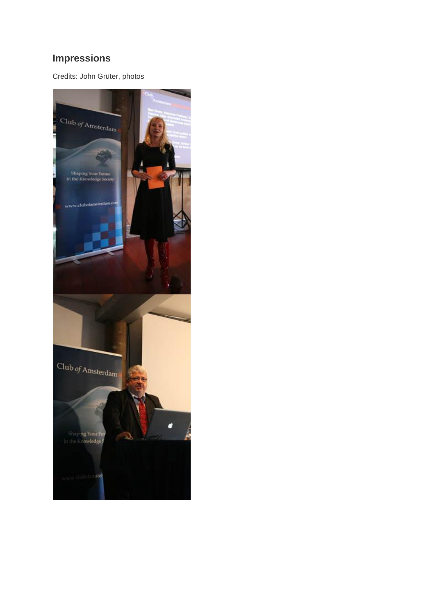# **Impressions**

Credits: John Grüter, photos

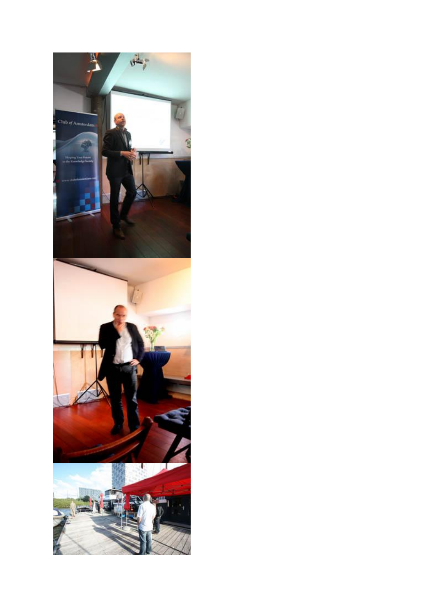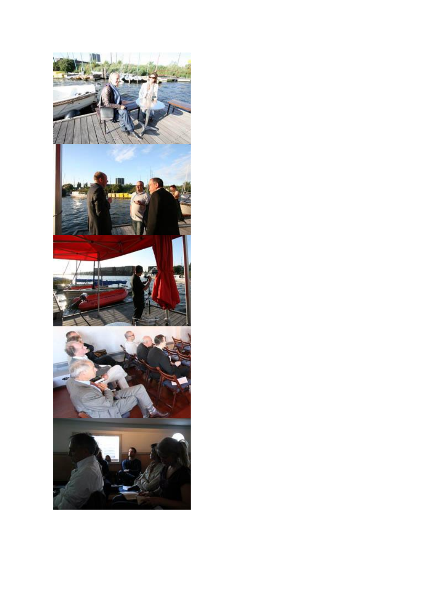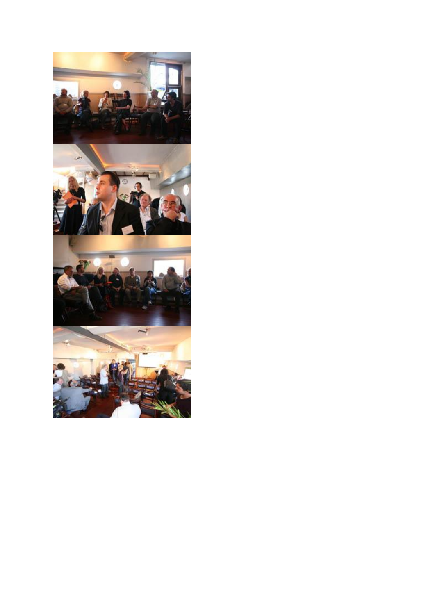